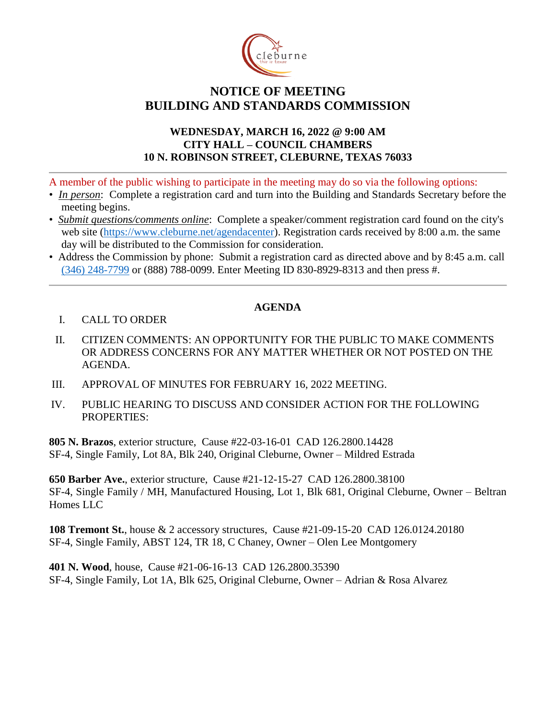

## **NOTICE OF MEETING BUILDING AND STANDARDS COMMISSION**

## **WEDNESDAY, MARCH 16, 2022 @ 9:00 AM CITY HALL – COUNCIL CHAMBERS 10 N. ROBINSON STREET, CLEBURNE, TEXAS 76033**

A member of the public wishing to participate in the meeting may do so via the following options:

- *In person*: Complete a registration card and turn into the Building and Standards Secretary before the meeting begins.
- *Submit questions/comments online*: Complete a speaker/comment registration card found on the city's web site [\(https://www.cleburne.net/agendacenter\)](https://www.cleburne.net/agendacenter). Registration cards received by 8:00 a.m. the same day will be distributed to the Commission for consideration.
- Address the Commission by phone: Submit a registration card as directed above and by 8:45 a.m. call [\(346\) 248-7799](tel:+13127573117,,477307821) or (888) 788-0099. Enter Meeting ID 830-8929-8313 and then press #.

## **AGENDA**

- I. CALL TO ORDER
- II. CITIZEN COMMENTS: AN OPPORTUNITY FOR THE PUBLIC TO MAKE COMMENTS OR ADDRESS CONCERNS FOR ANY MATTER WHETHER OR NOT POSTED ON THE AGENDA.
- III. APPROVAL OF MINUTES FOR FEBRUARY 16, 2022 MEETING.
- IV. PUBLIC HEARING TO DISCUSS AND CONSIDER ACTION FOR THE FOLLOWING PROPERTIES:

**805 N. Brazos**, exterior structure, Cause #22-03-16-01 CAD 126.2800.14428 SF-4, Single Family, Lot 8A, Blk 240, Original Cleburne, Owner – Mildred Estrada

**650 Barber Ave.**, exterior structure, Cause #21-12-15-27 CAD 126.2800.38100 SF-4, Single Family / MH, Manufactured Housing, Lot 1, Blk 681, Original Cleburne, Owner – Beltran Homes LLC

**108 Tremont St.**, house & 2 accessory structures, Cause #21-09-15-20 CAD 126.0124.20180 SF-4, Single Family, ABST 124, TR 18, C Chaney, Owner – Olen Lee Montgomery

**401 N. Wood**, house, Cause #21-06-16-13 CAD 126.2800.35390 SF-4, Single Family, Lot 1A, Blk 625, Original Cleburne, Owner – Adrian & Rosa Alvarez